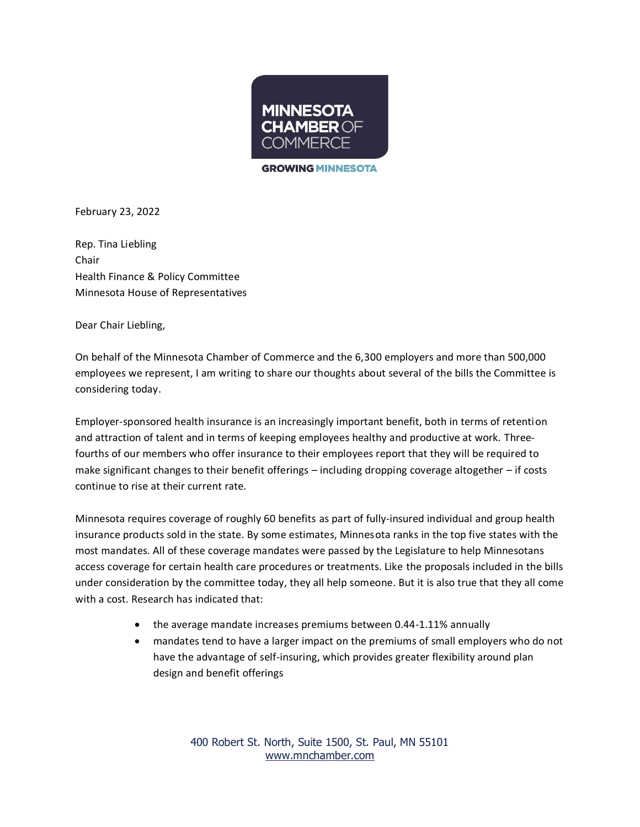

**GROWING MINNESOTA** 

February 23, 2022

Rep. Tina Liebling Chair Health Finance & Policy Committee Minnesota House of Representatives

Dear Chair Liebling,

On behalf of the Minnesota Chamber of Commerce and the 6,300 employers and more than 500,000 employees we represent, I am writing to share our thoughts about several of the bills the Committee is considering today.

Employer-sponsored health insurance is an increasingly important benefit, both in terms of retention and attraction of talent and in terms of keeping employees healthy and productive at work. Threefourths of our members who offer insurance to their employees report that they will be required to make significant changes to their benefit offerings – including dropping coverage altogether – if costs continue to rise at their current rate.

Minnesota requires coverage of roughly 60 benefits as part of fully-insured individual and group health insurance products sold in the state. By some estimates, Minnesota ranks in the top five states with the most mandates. All of these coverage mandates were passed by the Legislature to help Minnesotans access coverage for certain health care procedures or treatments. Like the proposals included in the bills under consideration by the committee today, they all help someone. But it is also true that they all come with a cost. Research has indicated that:

- the average mandate increases premiums between 0.44-1.11% annually
- mandates tend to have a larger impact on the premiums of small employers who do not have the advantage of self-insuring, which provides greater flexibility around plan design and benefit offerings

400 Robert St. North, Suite 1500, St. Paul, MN 55101 [www.mnchamber.com](http://www.mnchamber.com/)